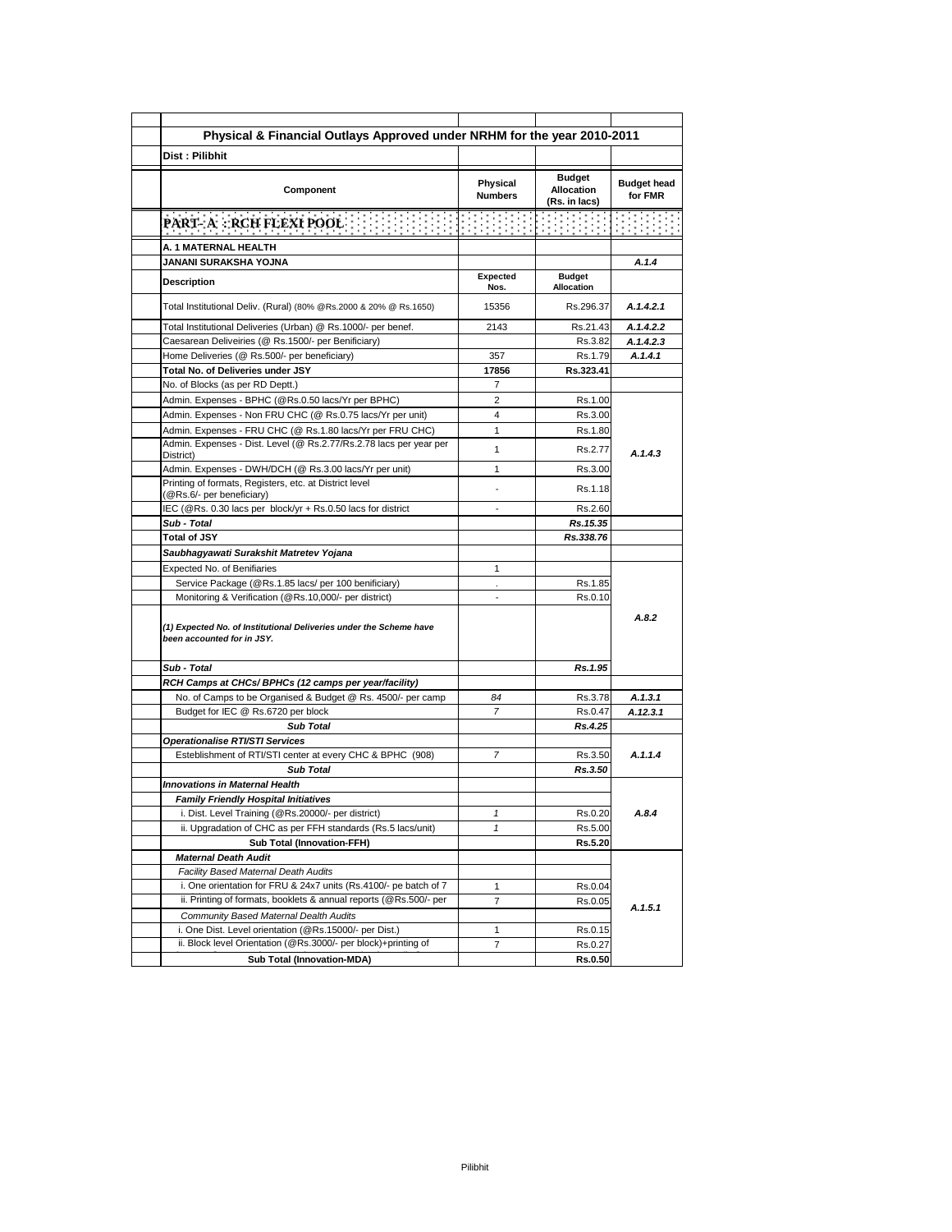| Physical & Financial Outlays Approved under NRHM for the year 2010-2011                          |                                   |                                                     |                               |
|--------------------------------------------------------------------------------------------------|-----------------------------------|-----------------------------------------------------|-------------------------------|
| Dist: Pilibhit                                                                                   |                                   |                                                     |                               |
| Component                                                                                        | <b>Physical</b><br><b>Numbers</b> | <b>Budget</b><br><b>Allocation</b><br>(Rs. in lacs) | <b>Budget head</b><br>for FMR |
| PART- A : RCH FLEXI POOL                                                                         |                                   |                                                     |                               |
| A. 1 MATERNAL HEALTH                                                                             |                                   |                                                     |                               |
| JANANI SURAKSHA YOJNA                                                                            |                                   |                                                     | A.1.4                         |
| <b>Description</b>                                                                               | Expected<br>Nos.                  | <b>Budget</b><br><b>Allocation</b>                  |                               |
| Total Institutional Deliv. (Rural) (80% @Rs.2000 & 20% @ Rs.1650)                                | 15356                             | Rs.296.37                                           | A.1.4.2.1                     |
| Total Institutional Deliveries (Urban) @ Rs.1000/- per benef.                                    | 2143                              | Rs.21.43                                            | A.1.4.2.2                     |
| Caesarean Deliveiries (@ Rs.1500/- per Benificiary)                                              |                                   | Rs.3.82                                             | A.1.4.2.3                     |
| Home Deliveries (@ Rs.500/- per beneficiary)                                                     | 357                               | Rs.1.79                                             | A.1.4.1                       |
| Total No. of Deliveries under JSY                                                                | 17856                             | Rs.323.41                                           |                               |
| No. of Blocks (as per RD Deptt.)                                                                 | 7                                 |                                                     |                               |
| Admin. Expenses - BPHC (@Rs.0.50 lacs/Yr per BPHC)                                               | 2                                 | Rs.1.00                                             |                               |
| Admin. Expenses - Non FRU CHC (@ Rs.0.75 lacs/Yr per unit)                                       | $\overline{\mathbf{4}}$           | Rs.3.00                                             |                               |
| Admin. Expenses - FRU CHC (@ Rs.1.80 lacs/Yr per FRU CHC)                                        | 1                                 | Rs.1.80                                             |                               |
| Admin. Expenses - Dist. Level (@ Rs.2.77/Rs.2.78 lacs per year per<br>District)                  | 1                                 | Rs.2.77                                             | A.1.4.3                       |
| Admin. Expenses - DWH/DCH (@ Rs.3.00 lacs/Yr per unit)                                           | 1                                 | Rs.3.00                                             |                               |
| Printing of formats, Registers, etc. at District level<br>(@Rs.6/- per beneficiary)              | ÷                                 | Rs.1.18                                             |                               |
| IEC (@Rs. 0.30 lacs per block/yr + Rs.0.50 lacs for district                                     | $\overline{a}$                    | Rs.2.60                                             |                               |
| Sub - Total                                                                                      |                                   | Rs.15.35                                            |                               |
| <b>Total of JSY</b>                                                                              |                                   | Rs.338.76                                           |                               |
| Saubhagyawati Surakshit Matretev Yojana                                                          |                                   |                                                     |                               |
| Expected No. of Benifiaries                                                                      | 1                                 |                                                     |                               |
| Service Package (@Rs.1.85 lacs/ per 100 benificiary)                                             |                                   | Rs.1.85                                             |                               |
| Monitoring & Verification (@Rs.10,000/- per district)                                            | $\overline{a}$                    | Rs.0.10                                             |                               |
| (1) Expected No. of Institutional Deliveries under the Scheme have<br>been accounted for in JSY. |                                   |                                                     | A.8.2                         |
| Sub - Total                                                                                      |                                   | Rs.1.95                                             |                               |
| RCH Camps at CHCs/ BPHCs (12 camps per year/facility)                                            |                                   |                                                     |                               |
| No. of Camps to be Organised & Budget @ Rs. 4500/- per camp                                      | 84                                | Rs.3.78                                             | A.1.3.1                       |
| Budget for IEC @ Rs.6720 per block                                                               | $\overline{7}$                    | Rs.0.47                                             | A.12.3.1                      |
| <b>Sub Total</b>                                                                                 |                                   | Rs.4.25                                             |                               |
| <b>Operationalise RTI/STI Services</b>                                                           |                                   |                                                     |                               |
| Esteblishment of RTI/STI center at every CHC & BPHC (908)                                        | 7                                 | Rs.3.50                                             | A.1.1.4                       |
| <b>Sub Total</b>                                                                                 |                                   | Rs.3.50                                             |                               |
| <b>Innovations in Maternal Health</b>                                                            |                                   |                                                     |                               |
| <b>Family Friendly Hospital Initiatives</b>                                                      |                                   |                                                     |                               |
| i. Dist. Level Training (@Rs.20000/- per district)                                               | 1                                 | Rs.0.20                                             | A.8.4                         |
| ii. Upgradation of CHC as per FFH standards (Rs.5 lacs/unit)                                     | 1                                 | Rs.5.00                                             |                               |
| Sub Total (Innovation-FFH)                                                                       |                                   | Rs.5.20                                             |                               |
| <b>Maternal Death Audit</b>                                                                      |                                   |                                                     |                               |
| Facility Based Maternal Death Audits                                                             |                                   |                                                     |                               |
| i. One orientation for FRU & 24x7 units (Rs.4100/- pe batch of 7                                 | 1                                 | Rs.0.04                                             |                               |
| ii. Printing of formats, booklets & annual reports (@Rs.500/- per                                | $\overline{7}$                    | Rs.0.05                                             |                               |
| Community Based Maternal Dealth Audits                                                           |                                   |                                                     | A.1.5.1                       |
| i. One Dist. Level orientation (@Rs.15000/- per Dist.)                                           | 1                                 | Rs.0.15                                             |                               |
| ii. Block level Orientation (@Rs.3000/- per block)+printing of                                   | $\boldsymbol{7}$                  | Rs.0.27                                             |                               |
| Sub Total (Innovation-MDA)                                                                       |                                   | Rs.0.50                                             |                               |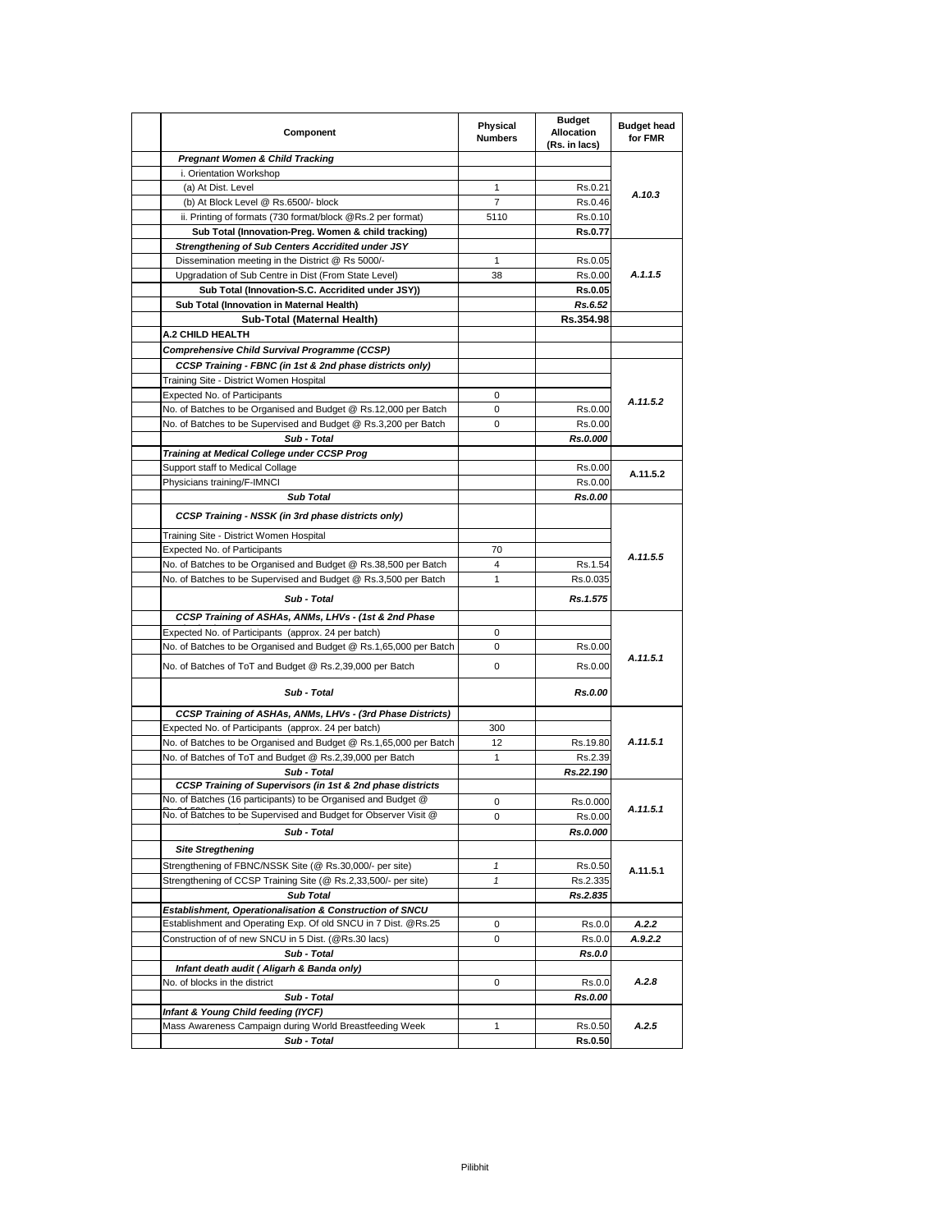| Component                                                         | Physical<br><b>Numbers</b> | <b>Budget</b><br><b>Allocation</b><br>(Rs. in lacs) | <b>Budget head</b><br>for FMR |
|-------------------------------------------------------------------|----------------------------|-----------------------------------------------------|-------------------------------|
| <b>Pregnant Women &amp; Child Tracking</b>                        |                            |                                                     |                               |
| i. Orientation Workshop                                           |                            |                                                     |                               |
| (a) At Dist. Level                                                | 1                          | Rs.0.21                                             |                               |
| (b) At Block Level @ Rs.6500/- block                              | 7                          | Rs.0.46                                             | A.10.3                        |
| ii. Printing of formats (730 format/block @Rs.2 per format)       | 5110                       | Rs.0.10                                             |                               |
| Sub Total (Innovation-Preg. Women & child tracking)               |                            | <b>Rs.0.77</b>                                      |                               |
| <b>Strengthening of Sub Centers Accridited under JSY</b>          |                            |                                                     |                               |
| Dissemination meeting in the District @ Rs 5000/-                 | $\mathbf{1}$               | Rs.0.05                                             |                               |
|                                                                   | 38                         | Rs.0.00                                             | A.1.1.5                       |
| Upgradation of Sub Centre in Dist (From State Level)              |                            |                                                     |                               |
| Sub Total (Innovation-S.C. Accridited under JSY))                 |                            | <b>Rs.0.05</b>                                      |                               |
| Sub Total (Innovation in Maternal Health)                         |                            | Rs.6.52                                             |                               |
| Sub-Total (Maternal Health)                                       |                            | Rs.354.98                                           |                               |
| <b>A.2 CHILD HEALTH</b>                                           |                            |                                                     |                               |
| <b>Comprehensive Child Survival Programme (CCSP)</b>              |                            |                                                     |                               |
| CCSP Training - FBNC (in 1st & 2nd phase districts only)          |                            |                                                     |                               |
| Training Site - District Women Hospital                           |                            |                                                     |                               |
| Expected No. of Participants                                      | 0                          |                                                     |                               |
| No. of Batches to be Organised and Budget @ Rs.12,000 per Batch   | 0                          | Rs.0.00                                             | A.11.5.2                      |
| No. of Batches to be Supervised and Budget @ Rs.3,200 per Batch   | 0                          | Rs.0.00                                             |                               |
| Sub - Total                                                       |                            | Rs.0.000                                            |                               |
| Training at Medical College under CCSP Prog                       |                            |                                                     |                               |
| Support staff to Medical Collage                                  |                            | Rs.0.00                                             |                               |
| Physicians training/F-IMNCI                                       |                            | Rs.0.00                                             | A.11.5.2                      |
|                                                                   |                            | Rs.0.00                                             |                               |
| <b>Sub Total</b>                                                  |                            |                                                     |                               |
| <b>CCSP Training - NSSK (in 3rd phase districts only)</b>         |                            |                                                     |                               |
| Training Site - District Women Hospital                           |                            |                                                     |                               |
| Expected No. of Participants                                      | 70                         |                                                     |                               |
| No. of Batches to be Organised and Budget @ Rs.38,500 per Batch   | $\overline{\mathbf{4}}$    | Rs.1.54                                             | A.11.5.5                      |
| No. of Batches to be Supervised and Budget @ Rs.3,500 per Batch   | 1                          | Rs.0.035                                            |                               |
|                                                                   |                            |                                                     |                               |
| Sub - Total                                                       |                            | Rs. 1.575                                           |                               |
| CCSP Training of ASHAs, ANMs, LHVs - (1st & 2nd Phase             |                            |                                                     |                               |
| Expected No. of Participants (approx. 24 per batch)               | 0                          |                                                     |                               |
| No. of Batches to be Organised and Budget @ Rs.1,65,000 per Batch | 0                          | Rs.0.00                                             |                               |
|                                                                   |                            |                                                     | A.11.5.1                      |
| No. of Batches of ToT and Budget @ Rs.2,39,000 per Batch          | 0                          | Rs.0.00                                             |                               |
| Sub - Total                                                       |                            | Rs.0.00                                             |                               |
| CCSP Training of ASHAs, ANMs, LHVs - (3rd Phase Districts)        |                            |                                                     |                               |
| Expected No. of Participants (approx. 24 per batch)               | 300                        |                                                     |                               |
| No. of Batches to be Organised and Budget @ Rs.1,65,000 per Batch | 12                         | Rs.19.80                                            | A.11.5.1                      |
| No. of Batches of ToT and Budget @ Rs.2,39,000 per Batch          | 1                          | Rs.2.39                                             |                               |
| Sub - Total                                                       |                            | Rs.22.190                                           |                               |
| CCSP Training of Supervisors (in 1st & 2nd phase districts        |                            |                                                     |                               |
| No. of Batches (16 participants) to be Organised and Budget @     | 0                          | Rs.0.000                                            |                               |
| No. of Batches to be Supervised and Budget for Observer Visit @   | 0                          | Rs.0.00                                             | A.11.5.1                      |
|                                                                   |                            | Rs.0.000                                            |                               |
| Sub - Total                                                       |                            |                                                     |                               |
| <b>Site Stregthening</b>                                          |                            |                                                     |                               |
| Strengthening of FBNC/NSSK Site (@ Rs.30,000/- per site)          | 1                          | Rs.0.50                                             | A.11.5.1                      |
| Strengthening of CCSP Training Site (@ Rs.2,33,500/- per site)    | $\mathbf{1}$               | Rs.2.335                                            |                               |
| <b>Sub Total</b>                                                  |                            | Rs.2.835                                            |                               |
| Establishment, Operationalisation & Construction of SNCU          |                            |                                                     |                               |
| Establishment and Operating Exp. Of old SNCU in 7 Dist. @Rs.25    | 0                          | Rs.0.0                                              | A.2.2                         |
| Construction of of new SNCU in 5 Dist. (@Rs.30 lacs)              | 0                          | Rs.0.0                                              | A.9.2.2                       |
| Sub - Total                                                       |                            | <b>Rs.0.0</b>                                       |                               |
|                                                                   |                            |                                                     |                               |
| Infant death audit (Aligarh & Banda only)                         |                            |                                                     | A.2.8                         |
| No. of blocks in the district                                     | 0                          | Rs.0.0                                              |                               |
| Sub - Total                                                       |                            | Rs.0.00                                             |                               |
| Infant & Young Child feeding (IYCF)                               |                            |                                                     |                               |
| Mass Awareness Campaign during World Breastfeeding Week           | 1                          | Rs.0.50                                             | A.2.5                         |
| Sub - Total                                                       |                            | Rs.0.50                                             |                               |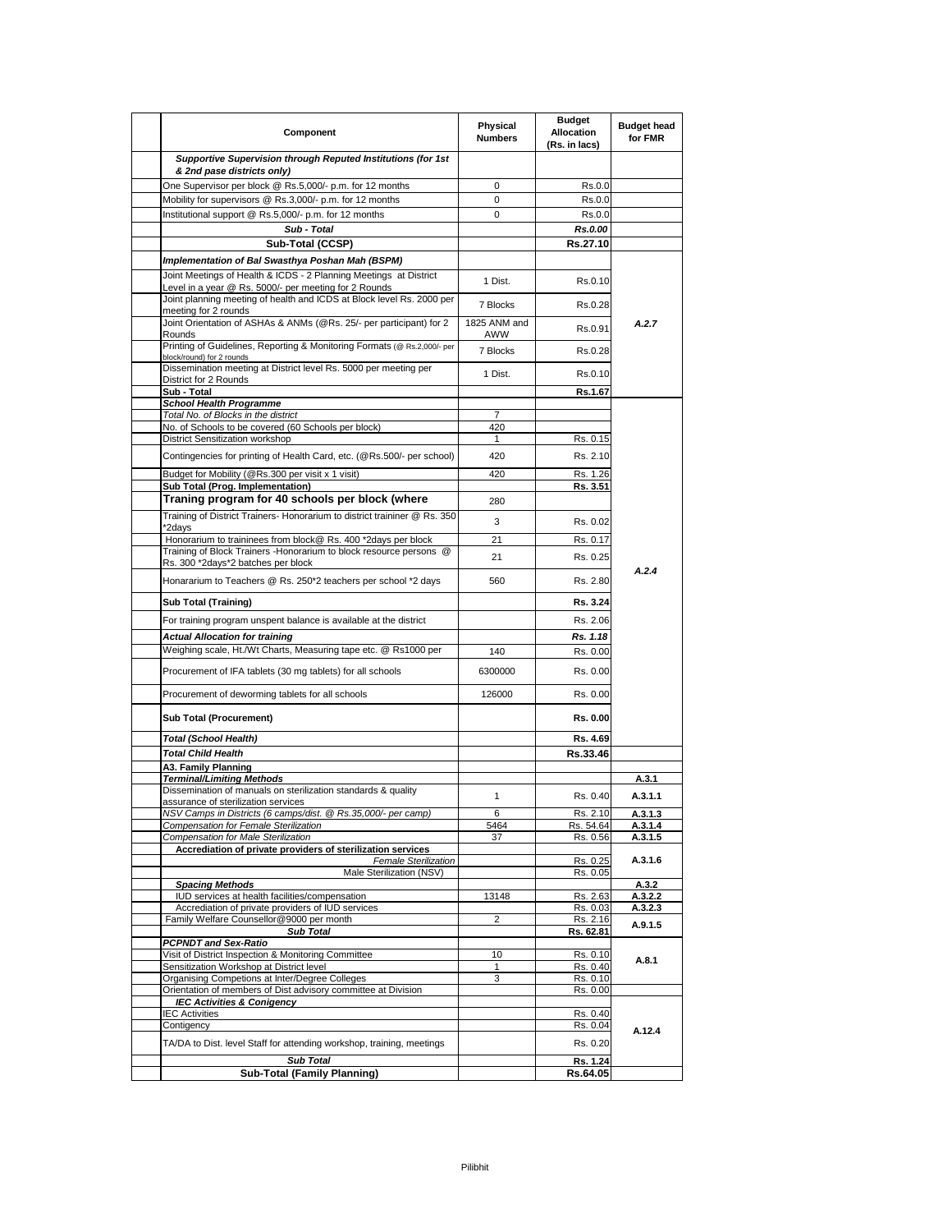| Component                                                                                                                      | Physical<br><b>Numbers</b> | <b>Budget</b><br>Allocation<br>(Rs. in lacs) | <b>Budget head</b><br>for FMR |
|--------------------------------------------------------------------------------------------------------------------------------|----------------------------|----------------------------------------------|-------------------------------|
| Supportive Supervision through Reputed Institutions (for 1st<br>& 2nd pase districts only)                                     |                            |                                              |                               |
| One Supervisor per block @ Rs.5,000/- p.m. for 12 months                                                                       | 0                          | Rs.0.0                                       |                               |
| Mobility for supervisors @ Rs.3,000/- p.m. for 12 months                                                                       | $\mathbf 0$                | Rs.0.0                                       |                               |
| Institutional support @ Rs.5,000/- p.m. for 12 months                                                                          | 0                          | Rs.0.0                                       |                               |
| Sub - Total                                                                                                                    |                            | Rs.0.00                                      |                               |
| Sub-Total (CCSP)                                                                                                               |                            | Rs.27.10                                     |                               |
| Implementation of Bal Swasthya Poshan Mah (BSPM)                                                                               |                            |                                              |                               |
| Joint Meetings of Health & ICDS - 2 Planning Meetings at District                                                              |                            |                                              |                               |
| Level in a year @ Rs. 5000/- per meeting for 2 Rounds<br>Joint planning meeting of health and ICDS at Block level Rs. 2000 per | 1 Dist.                    | Rs.0.10                                      |                               |
| meeting for 2 rounds<br>Joint Orientation of ASHAs & ANMs (@Rs. 25/- per participant) for 2                                    | 7 Blocks<br>1825 ANM and   | Rs.0.28                                      | A.2.7                         |
| Rounds<br>Printing of Guidelines, Reporting & Monitoring Formats (@ Rs.2,000/- per                                             | AWW                        | Rs.0.91                                      |                               |
| block/round) for 2 rounds                                                                                                      | 7 Blocks                   | Rs.0.28                                      |                               |
| Dissemination meeting at District level Rs. 5000 per meeting per<br>District for 2 Rounds                                      | 1 Dist.                    | Rs.0.10                                      |                               |
| Sub - Total                                                                                                                    |                            | Rs.1.67                                      |                               |
| <b>School Health Programme</b>                                                                                                 |                            |                                              |                               |
| Total No. of Blocks in the district<br>No. of Schools to be covered (60 Schools per block)                                     | 7<br>420                   |                                              |                               |
| District Sensitization workshop                                                                                                | $\mathbf{1}$               | Rs. 0.15                                     |                               |
| Contingencies for printing of Health Card, etc. (@Rs.500/- per school)                                                         | 420                        | Rs. 2.10                                     |                               |
| Budget for Mobility (@Rs.300 per visit x 1 visit)                                                                              | 420                        | Rs. 1.26                                     |                               |
| Sub Total (Prog. Implementation)                                                                                               |                            | Rs. 3.51                                     |                               |
| Traning program for 40 schools per block (where                                                                                | 280                        |                                              |                               |
| Training of District Trainers- Honorarium to district traininer @ Rs. 350<br>*2davs                                            | 3                          | Rs. 0.02                                     |                               |
| Honorarium to traininees from block@ Rs. 400 *2days per block                                                                  | 21                         | Rs. 0.17                                     |                               |
| Training of Block Trainers - Honorarium to block resource persons @<br>Rs. 300 *2days*2 batches per block                      | 21                         | Rs. 0.25                                     | A.2.4                         |
| Honararium to Teachers @ Rs. 250*2 teachers per school *2 days                                                                 | 560                        | Rs. 2.80                                     |                               |
| <b>Sub Total (Training)</b>                                                                                                    |                            | Rs. 3.24                                     |                               |
| For training program unspent balance is available at the district                                                              |                            | Rs. 2.06                                     |                               |
| <b>Actual Allocation for training</b>                                                                                          |                            | Rs. 1.18                                     |                               |
| Weighing scale, Ht./Wt Charts, Measuring tape etc. @ Rs1000 per                                                                | 140                        | Rs. 0.00                                     |                               |
| Procurement of IFA tablets (30 mg tablets) for all schools                                                                     | 6300000                    | Rs. 0.00                                     |                               |
| Procurement of deworming tablets for all schools                                                                               | 126000                     | Rs. 0.00                                     |                               |
| Sub Total (Procurement)                                                                                                        |                            | Rs. 0.00                                     |                               |
| <b>Total (School Health)</b>                                                                                                   |                            | Rs. 4.69                                     |                               |
| <b>Total Child Health</b>                                                                                                      |                            | Rs.33.46                                     |                               |
| A3. Family Planning                                                                                                            |                            |                                              |                               |
| <b>Terminal/Limiting Methods</b>                                                                                               |                            |                                              | A.3.1                         |
| Dissemination of manuals on sterilization standards & quality<br>assurance of sterilization services                           | 1                          | Rs. 0.40                                     | A.3.1.1                       |
| NSV Camps in Districts (6 camps/dist. @ Rs.35,000/- per camp)                                                                  | 6                          | Rs. 2.10                                     | A.3.1.3                       |
| Compensation for Female Sterilization                                                                                          | 5464                       | Rs. 54.64                                    | A.3.1.4                       |
| <b>Compensation for Male Sterilization</b><br>Accrediation of private providers of sterilization services                      | 37                         | Rs. 0.56                                     | A.3.1.5                       |
| <b>Female Sterilization</b><br>Male Sterilization (NSV)                                                                        |                            | Rs. 0.25<br>Rs. 0.05                         | A.3.1.6                       |
| <b>Spacing Methods</b>                                                                                                         |                            |                                              | A.3.2                         |
| IUD services at health facilities/compensation                                                                                 | 13148                      | Rs. 2.63                                     | A.3.2.2                       |
| Accrediation of private providers of IUD services                                                                              |                            | Rs. 0.03                                     | A.3.2.3                       |
| Family Welfare Counsellor@9000 per month                                                                                       | 2                          | Rs. 2.16                                     | A.9.1.5                       |
| <b>Sub Total</b><br><b>PCPNDT and Sex-Ratio</b>                                                                                |                            | Rs. 62.81                                    |                               |
| Visit of District Inspection & Monitoring Committee                                                                            | 10                         | Rs. 0.10                                     | A.8.1                         |
| Sensitization Workshop at District level                                                                                       |                            | Rs. 0.40                                     |                               |
| Organising Competions at Inter/Degree Colleges                                                                                 | 3                          | Rs. 0.10                                     |                               |
| Orientation of members of Dist advisory committee at Division                                                                  |                            | Rs. 0.00                                     |                               |
| <b>IEC Activities &amp; Conigency</b><br><b>IEC Activities</b>                                                                 |                            | Rs. 0.40                                     |                               |
| Contigency                                                                                                                     |                            | Rs. 0.04                                     |                               |
| TA/DA to Dist. level Staff for attending workshop, training, meetings                                                          |                            | Rs. 0.20                                     | A.12.4                        |
|                                                                                                                                |                            |                                              |                               |
| <b>Sub Total</b>                                                                                                               |                            | Rs. 1.24                                     |                               |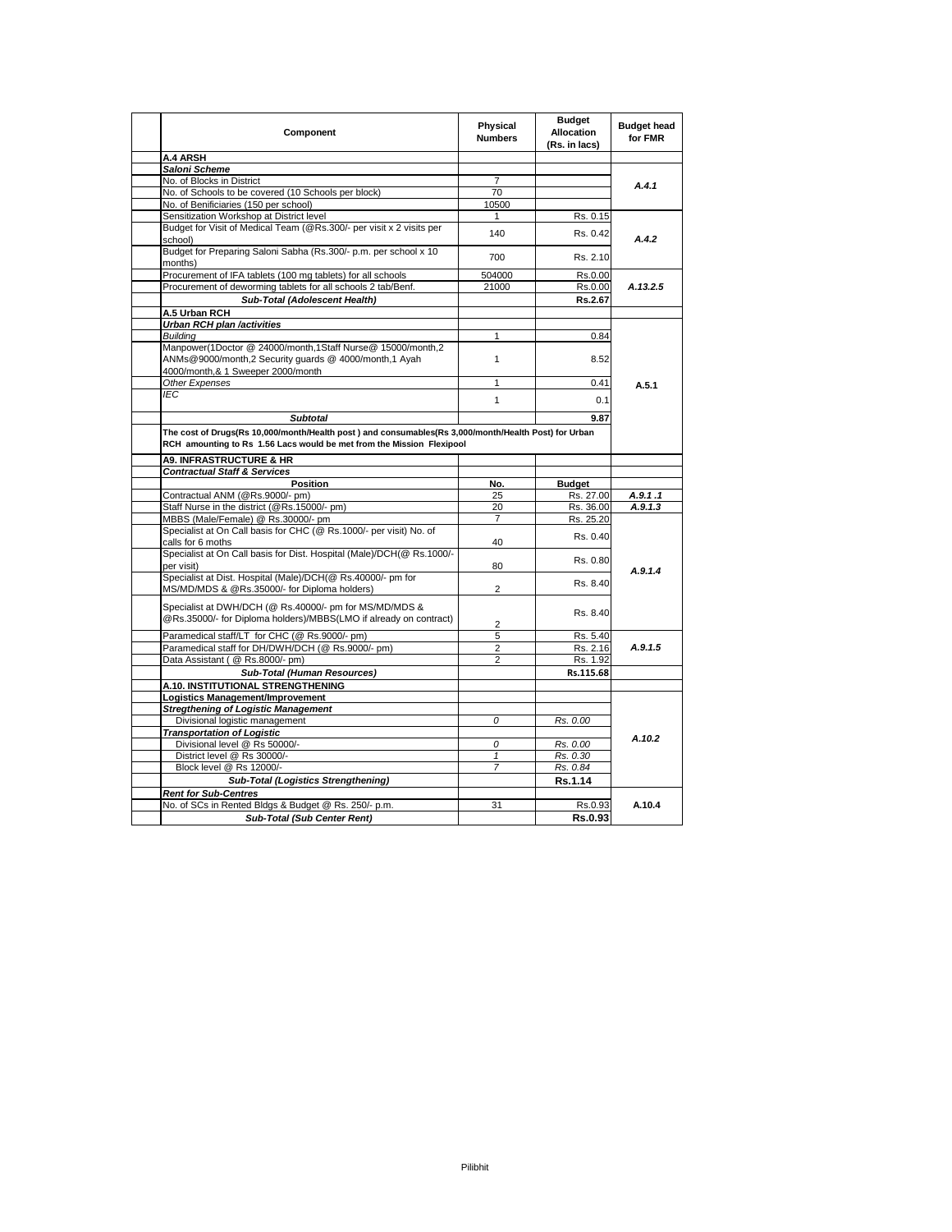| Component                                                                                                                                                                     | Physical<br><b>Numbers</b> | <b>Budget</b><br>Allocation<br>(Rs. in lacs) | <b>Budget head</b><br>for FMR |
|-------------------------------------------------------------------------------------------------------------------------------------------------------------------------------|----------------------------|----------------------------------------------|-------------------------------|
| A.4 ARSH                                                                                                                                                                      |                            |                                              |                               |
| Saloni Scheme                                                                                                                                                                 |                            |                                              |                               |
| No. of Blocks in District                                                                                                                                                     | $\overline{7}$             |                                              | A.4.1                         |
| No. of Schools to be covered (10 Schools per block)                                                                                                                           | 70                         |                                              |                               |
| No. of Benificiaries (150 per school)                                                                                                                                         | 10500                      |                                              |                               |
| Sensitization Workshop at District level                                                                                                                                      | 1                          | Rs. 0.15                                     |                               |
| Budget for Visit of Medical Team (@Rs.300/- per visit x 2 visits per<br>school)                                                                                               | 140                        | Rs. 0.42                                     | A.4.2                         |
| Budget for Preparing Saloni Sabha (Rs.300/- p.m. per school x 10<br>months)                                                                                                   | 700                        | Rs. 2.10                                     |                               |
| Procurement of IFA tablets (100 mg tablets) for all schools                                                                                                                   | 504000                     | Rs.0.00                                      |                               |
| Procurement of deworming tablets for all schools 2 tab/Benf.                                                                                                                  | 21000                      | Rs.0.00                                      | A.13.2.5                      |
| Sub-Total (Adolescent Health)                                                                                                                                                 |                            | Rs.2.67                                      |                               |
| A.5 Urban RCH                                                                                                                                                                 |                            |                                              |                               |
| Urban RCH plan /activities                                                                                                                                                    |                            |                                              |                               |
| <b>Building</b>                                                                                                                                                               | 1                          | 0.84                                         |                               |
| Manpower(1Doctor @ 24000/month,1Staff Nurse@ 15000/month,2                                                                                                                    |                            |                                              |                               |
| ANMs@9000/month,2 Security quards @ 4000/month,1 Ayah                                                                                                                         | $\mathbf{1}$               | 8.52                                         |                               |
| 4000/month, & 1 Sweeper 2000/month                                                                                                                                            |                            |                                              |                               |
| Other Expenses                                                                                                                                                                | 1                          | 0.41                                         | A.5.1                         |
| <b>IEC</b>                                                                                                                                                                    | 1                          | 0.1                                          |                               |
| <b>Subtotal</b>                                                                                                                                                               |                            | 9.87                                         |                               |
| The cost of Drugs(Rs 10,000/month/Health post) and consumables(Rs 3,000/month/Health Post) for Urban<br>RCH amounting to Rs 1.56 Lacs would be met from the Mission Flexipool |                            |                                              |                               |
| <b>A9. INFRASTRUCTURE &amp; HR</b>                                                                                                                                            |                            |                                              |                               |
| <b>Contractual Staff &amp; Services</b>                                                                                                                                       |                            |                                              |                               |
| <b>Position</b>                                                                                                                                                               | No.                        | <b>Budget</b>                                |                               |
| Contractual ANM (@Rs.9000/- pm)                                                                                                                                               | 25                         | Rs. 27.00                                    | A.9.1.1                       |
| Staff Nurse in the district (@Rs.15000/- pm)                                                                                                                                  | 20                         | Rs. 36.00                                    | A.9.1.3                       |
| MBBS (Male/Female) @ Rs.30000/- pm                                                                                                                                            | $\overline{7}$             | Rs. 25.20                                    |                               |
| Specialist at On Call basis for CHC (@ Rs.1000/- per visit) No. of<br>calls for 6 moths                                                                                       | 40                         | Rs. 0.40                                     |                               |
| Specialist at On Call basis for Dist. Hospital (Male)/DCH(@ Rs.1000/-<br>per visit)                                                                                           | 80                         | Rs. 0.80                                     |                               |
| Specialist at Dist. Hospital (Male)/DCH(@ Rs.40000/- pm for                                                                                                                   |                            |                                              | A.9.1.4                       |
| MS/MD/MDS & @Rs.35000/- for Diploma holders)                                                                                                                                  | $\overline{2}$             | Rs. 8.40                                     |                               |
| Specialist at DWH/DCH (@ Rs.40000/- pm for MS/MD/MDS &<br>@Rs.35000/- for Diploma holders)/MBBS(LMO if already on contract)                                                   | $\overline{c}$             | Rs. 8.40                                     |                               |
| Paramedical staff/LT for CHC (@ Rs.9000/- pm)                                                                                                                                 | 5                          | Rs. 5.40                                     |                               |
| Paramedical staff for DH/DWH/DCH (@ Rs.9000/- pm)                                                                                                                             | $\overline{2}$             | Rs. 2.16                                     | A.9.1.5                       |
| Data Assistant (@ Rs.8000/- pm)                                                                                                                                               | $\overline{2}$             | Rs. 1.92                                     |                               |
| Sub-Total (Human Resources)                                                                                                                                                   |                            | Rs.115.68                                    |                               |
| A.10. INSTITUTIONAL STRENGTHENING                                                                                                                                             |                            |                                              |                               |
|                                                                                                                                                                               |                            |                                              |                               |
| Logistics Management/Improvement                                                                                                                                              |                            |                                              |                               |
| <b>Stregthening of Logistic Management</b>                                                                                                                                    | 0                          | Rs. 0.00                                     |                               |
| Divisional logistic management                                                                                                                                                |                            |                                              |                               |
| <b>Transportation of Logistic</b>                                                                                                                                             | $\Omega$                   |                                              | A.10.2                        |
| Divisional level @ Rs 50000/-                                                                                                                                                 |                            | Rs. 0.00                                     |                               |
| District level @ Rs 30000/-                                                                                                                                                   | 1<br>7                     | Rs. 0.30                                     |                               |
| Block level @ Rs 12000/-                                                                                                                                                      |                            | Rs. 0.84                                     |                               |
| Sub-Total (Logistics Strengthening)                                                                                                                                           |                            | Rs.1.14                                      |                               |
| <b>Rent for Sub-Centres</b>                                                                                                                                                   |                            |                                              |                               |
| No. of SCs in Rented Bldgs & Budget @ Rs. 250/- p.m.                                                                                                                          | 31                         | Rs.0.93                                      | A.10.4                        |
| Sub-Total (Sub Center Rent)                                                                                                                                                   |                            | Rs.0.93                                      |                               |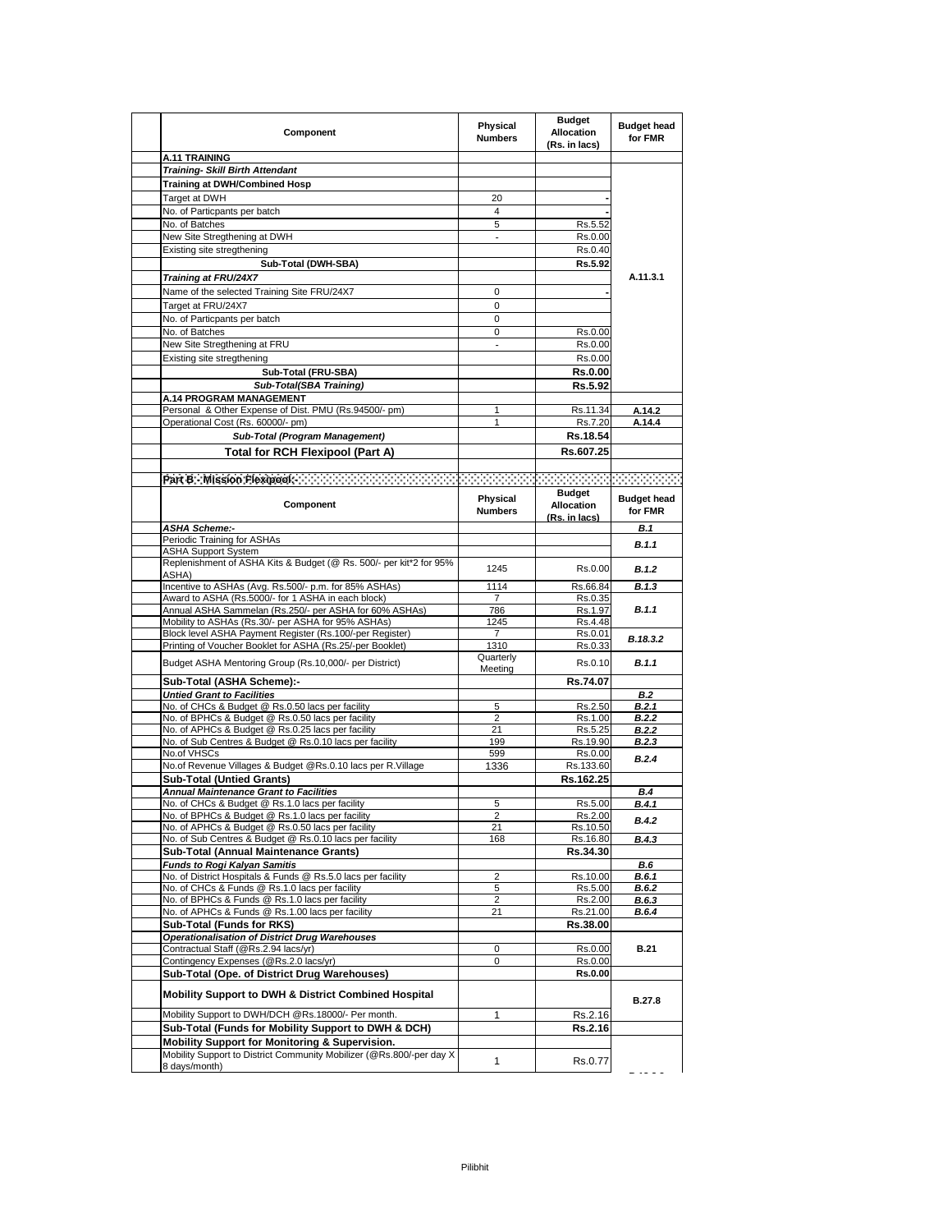| Component                                                                                                    | Physical<br><b>Numbers</b> | <b>Budget</b><br>Allocation<br>(Rs. in lacs) | <b>Budget head</b><br>for FMR |
|--------------------------------------------------------------------------------------------------------------|----------------------------|----------------------------------------------|-------------------------------|
| <b>A.11 TRAINING</b>                                                                                         |                            |                                              |                               |
| Training- Skill Birth Attendant                                                                              |                            |                                              |                               |
| <b>Training at DWH/Combined Hosp</b>                                                                         |                            |                                              |                               |
| Target at DWH                                                                                                | 20                         |                                              |                               |
| No. of Particpants per batch                                                                                 | $\overline{4}$             |                                              |                               |
| No. of Batches                                                                                               | 5                          | Rs.5.52                                      |                               |
| New Site Stregthening at DWH                                                                                 | $\sim$                     | Rs.0.00                                      |                               |
| Existing site stregthening                                                                                   |                            | Rs.0.40                                      |                               |
| Sub-Total (DWH-SBA)                                                                                          |                            | Rs.5.92                                      |                               |
| Training at FRU/24X7                                                                                         |                            |                                              | A.11.3.1                      |
| Name of the selected Training Site FRU/24X7                                                                  | 0                          |                                              |                               |
| Target at FRU/24X7                                                                                           | 0                          |                                              |                               |
| No. of Particpants per batch                                                                                 | 0                          |                                              |                               |
| No. of Batches                                                                                               | 0                          | Rs.0.00                                      |                               |
| New Site Stregthening at FRU                                                                                 |                            | Rs.0.00                                      |                               |
| Existing site stregthening                                                                                   |                            | Rs.0.00                                      |                               |
| Sub-Total (FRU-SBA)                                                                                          |                            | Rs.0.00                                      |                               |
| Sub-Total(SBA Training)                                                                                      |                            | Rs.5.92                                      |                               |
| A.14 PROGRAM MANAGEMENT                                                                                      |                            |                                              |                               |
| Personal & Other Expense of Dist. PMU (Rs.94500/- pm)                                                        | 1                          | Rs.11.34                                     | A.14.2                        |
| Operational Cost (Rs. 60000/- pm)                                                                            | 1                          | Rs.7.20                                      | A.14.4                        |
| Sub-Total (Program Management)                                                                               |                            | Rs.18.54                                     |                               |
| <b>Total for RCH Flexipool (Part A)</b>                                                                      |                            | Rs.607.25                                    |                               |
|                                                                                                              |                            |                                              |                               |
| Part Be Mission Flexipool: And the conduction of the conduction of the conduction of the conduction          |                            |                                              |                               |
|                                                                                                              | Physical                   | <b>Budget</b>                                | <b>Budget head</b>            |
| Component                                                                                                    | <b>Numbers</b>             | <b>Allocation</b>                            | for FMR                       |
| ASHA Scheme:-                                                                                                |                            | (Rs. in lacs)                                | <b>B.1</b>                    |
| Periodic Training for ASHAs                                                                                  |                            |                                              |                               |
| <b>ASHA Support System</b>                                                                                   |                            |                                              | B.1.1                         |
| Replenishment of ASHA Kits & Budget (@ Rs. 500/- per kit*2 for 95%                                           | 1245                       | Rs.0.00                                      | B.1.2                         |
| ASHA)                                                                                                        |                            |                                              |                               |
| Incentive to ASHAs (Avg. Rs.500/- p.m. for 85% ASHAs)                                                        | 1114                       | Rs.66.84                                     | B.1.3                         |
| Award to ASHA (Rs.5000/- for 1 ASHA in each block)<br>Annual ASHA Sammelan (Rs.250/- per ASHA for 60% ASHAs) | $\overline{7}$<br>786      | Rs.0.35<br>Rs.1.97                           | B.1.1                         |
| Mobility to ASHAs (Rs.30/- per ASHA for 95% ASHAs)                                                           | 1245                       | Rs.4.48                                      |                               |
| Block level ASHA Payment Register (Rs.100/-per Register)                                                     | 7                          | Rs.0.01                                      |                               |
| Printing of Voucher Booklet for ASHA (Rs.25/-per Booklet)                                                    | 1310                       | Rs.0.33                                      | B.18.3.2                      |
| Budget ASHA Mentoring Group (Rs.10,000/- per District)                                                       | Quarterly                  | Rs.0.10                                      | B.1.1                         |
|                                                                                                              | Meeting                    |                                              |                               |
| Sub-Total (ASHA Scheme):-                                                                                    |                            | Rs.74.07                                     |                               |
| <b>Untied Grant to Facilities</b>                                                                            |                            |                                              | <b>B.2</b>                    |
| No. of CHCs & Budget @ Rs.0.50 lacs per facility<br>No. of BPHCs & Budget @ Rs.0.50 lacs per facility        | 5<br>2                     | Rs.2.50<br>Rs.1.00                           | B.2.1<br>B.2.2                |
| No. of APHCs & Budget @ Rs.0.25 lacs per facility                                                            | 21                         | Rs.5.25                                      | <b>B.2.2</b>                  |
| No. of Sub Centres & Budget @ Rs.0.10 lacs per facility                                                      | 199                        | Rs.19.90                                     | <b>B.2.3</b>                  |
| No.of VHSCs                                                                                                  | 599                        | Rs.0.00                                      | B.2.4                         |
| No.of Revenue Villages & Budget @Rs.0.10 lacs per R.Village                                                  | 1336                       | Rs.133.60                                    |                               |
| <b>Sub-Total (Untied Grants)</b>                                                                             |                            | Rs.162.25                                    |                               |
| <b>Annual Maintenance Grant to Facilities</b>                                                                |                            |                                              | <b>B.4</b>                    |
| No. of CHCs & Budget @ Rs.1.0 lacs per facility                                                              | 5                          | Rs.5.00                                      | B.4.1                         |
| No. of BPHCs & Budget @ Rs.1.0 lacs per facility<br>No. of APHCs & Budget @ Rs.0.50 lacs per facility        | 2<br>21                    | Rs.2.00<br>Rs.10.50                          | <b>B.4.2</b>                  |
| No. of Sub Centres & Budget @ Rs.0.10 lacs per facility                                                      | 168                        | Rs.16.80                                     | B.4.3                         |
| Sub-Total (Annual Maintenance Grants)                                                                        |                            | Rs.34.30                                     |                               |
| Funds to Rogi Kalyan Samitis                                                                                 |                            |                                              | <b>B.6</b>                    |
| No. of District Hospitals & Funds @ Rs.5.0 lacs per facility                                                 | 2                          | Rs.10.00                                     | B.6.1                         |
| No. of CHCs & Funds @ Rs.1.0 lacs per facility                                                               | 5                          | Rs.5.00                                      | B.6.2                         |
| No. of BPHCs & Funds @ Rs.1.0 lacs per facility                                                              | 2                          | Rs.2.00                                      | B.6.3                         |
| No. of APHCs & Funds @ Rs.1.00 lacs per facility                                                             | 21                         | Rs.21.00                                     | B.6.4                         |
| Sub-Total (Funds for RKS)<br><b>Operationalisation of District Drug Warehouses</b>                           |                            | Rs.38.00                                     |                               |
| Contractual Staff (@Rs.2.94 lacs/yr)                                                                         | 0                          | Rs.0.00                                      | <b>B.21</b>                   |
| Contingency Expenses (@Rs.2.0 lacs/yr)                                                                       | 0                          | Rs.0.00                                      |                               |
| Sub-Total (Ope. of District Drug Warehouses)                                                                 |                            | Rs.0.00                                      |                               |
|                                                                                                              |                            |                                              |                               |
| Mobility Support to DWH & District Combined Hospital                                                         |                            |                                              | B.27.8                        |
| Mobility Support to DWH/DCH @Rs.18000/- Per month.                                                           | 1                          | Rs.2.16                                      |                               |
| Sub-Total (Funds for Mobility Support to DWH & DCH)                                                          |                            | Rs.2.16                                      |                               |
| Mobility Support for Monitoring & Supervision.                                                               |                            |                                              |                               |
| Mobility Support to District Community Mobilizer (@Rs.800/-per day X                                         | 1                          |                                              |                               |
| 8 days/month)                                                                                                |                            | Rs.0.77                                      |                               |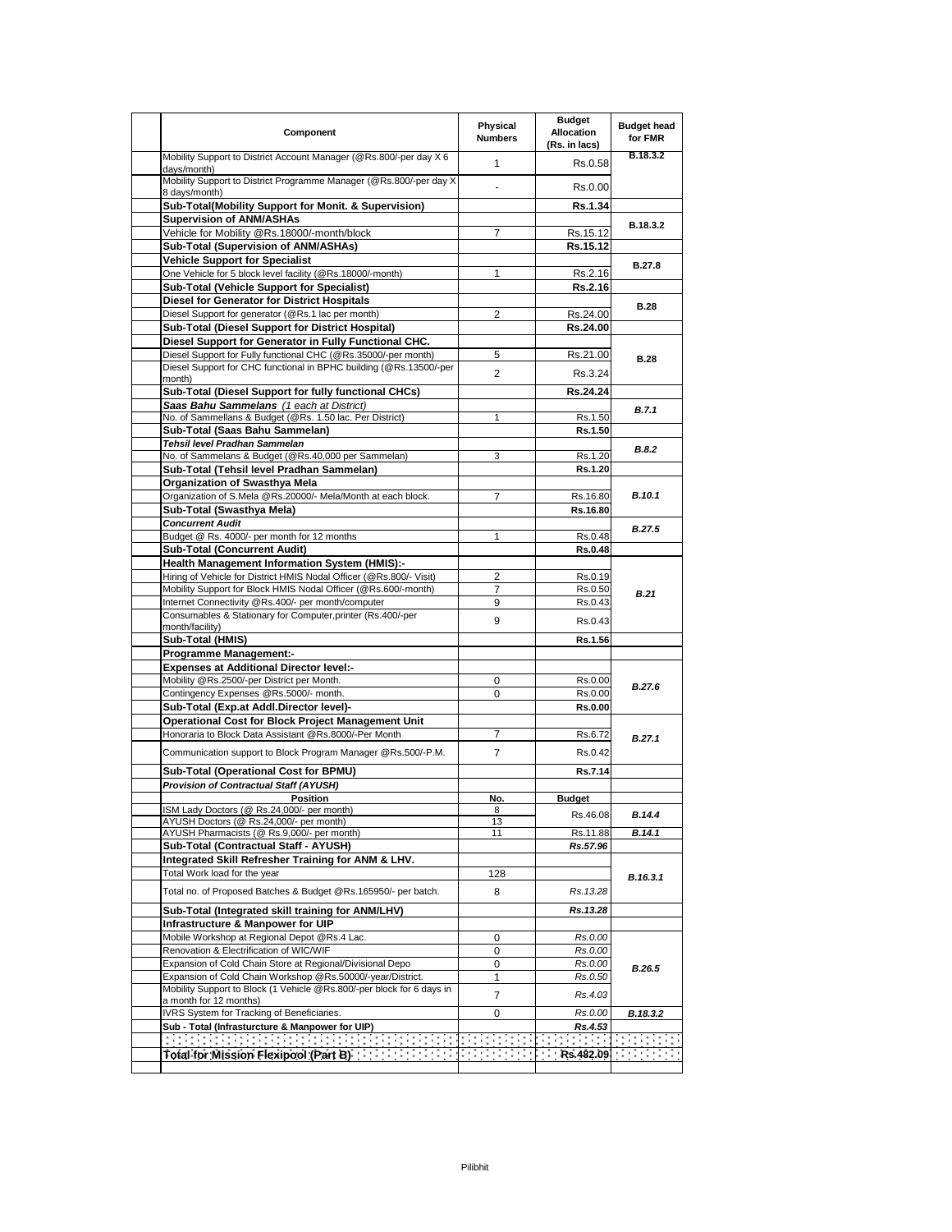| Component                                                                                                          | Physical<br><b>Numbers</b> | <b>Budget</b><br><b>Allocation</b><br>(Rs. in lacs) | <b>Budget head</b><br>for FMR |
|--------------------------------------------------------------------------------------------------------------------|----------------------------|-----------------------------------------------------|-------------------------------|
| Mobility Support to District Account Manager (@Rs.800/-per day X 6<br>days/month)                                  | $\mathbf{1}$               | Rs.0.58                                             | B.18.3.2                      |
| Mobility Support to District Programme Manager (@Rs.800/-per day X<br>8 days/month)                                |                            | Rs.0.00                                             |                               |
| Sub-Total(Mobility Support for Monit. & Supervision)                                                               |                            | Rs.1.34                                             |                               |
| <b>Supervision of ANM/ASHAs</b>                                                                                    |                            |                                                     | B.18.3.2                      |
| Vehicle for Mobility @Rs.18000/-month/block                                                                        | $\overline{7}$             | Rs.15.12                                            |                               |
| Sub-Total (Supervision of ANM/ASHAs)                                                                               |                            | Rs.15.12                                            |                               |
| <b>Vehicle Support for Specialist</b><br>One Vehicle for 5 block level facility (@Rs.18000/-month)                 | 1                          |                                                     | B.27.8                        |
| Sub-Total (Vehicle Support for Specialist)                                                                         |                            | Rs.2.16<br>Rs.2.16                                  |                               |
| <b>Diesel for Generator for District Hospitals</b>                                                                 |                            |                                                     |                               |
| Diesel Support for generator (@Rs.1 lac per month)                                                                 | 2                          | Rs.24.00                                            | <b>B.28</b>                   |
| Sub-Total (Diesel Support for District Hospital)                                                                   |                            | Rs.24.00                                            |                               |
| Diesel Support for Generator in Fully Functional CHC.                                                              |                            |                                                     |                               |
| Diesel Support for Fully functional CHC (@Rs.35000/-per month)                                                     | 5                          | Rs.21.00                                            | <b>B.28</b>                   |
| Diesel Support for CHC functional in BPHC building (@Rs.13500/-per                                                 | 2                          |                                                     |                               |
| month)                                                                                                             |                            | Rs.3.24                                             |                               |
| Sub-Total (Diesel Support for fully functional CHCs)                                                               |                            | Rs.24.24                                            |                               |
| Saas Bahu Sammelans (1 each at District)                                                                           |                            |                                                     | B.7.1                         |
| No. of Sammellans & Budget (@Rs. 1.50 lac. Per District)                                                           | 1                          | Rs.1.50                                             |                               |
| Sub-Total (Saas Bahu Sammelan)                                                                                     |                            | Rs.1.50                                             |                               |
| Tehsil level Pradhan Sammelan                                                                                      |                            |                                                     | B.8.2                         |
| No. of Sammelans & Budget (@Rs.40,000 per Sammelan)                                                                | 3                          | Rs.1.20<br>Rs.1.20                                  |                               |
| Sub-Total (Tehsil level Pradhan Sammelan)                                                                          |                            |                                                     |                               |
| Organization of Swasthya Mela<br>Organization of S.Mela @Rs.20000/- Mela/Month at each block.                      | $\overline{7}$             | Rs.16.80                                            | <b>B.10.1</b>                 |
| Sub-Total (Swasthya Mela)                                                                                          |                            | Rs.16.80                                            |                               |
| <b>Concurrent Audit</b>                                                                                            |                            |                                                     |                               |
| Budget @ Rs. 4000/- per month for 12 months                                                                        | 1                          | Rs.0.48                                             | <b>B.27.5</b>                 |
| <b>Sub-Total (Concurrent Audit)</b>                                                                                |                            | Rs.0.48                                             |                               |
| <b>Health Management Information System (HMIS):-</b>                                                               |                            |                                                     |                               |
| Hiring of Vehicle for District HMIS Nodal Officer (@Rs.800/- Visit)                                                | $\overline{2}$             | Rs.0.19                                             |                               |
| Mobility Support for Block HMIS Nodal Officer (@Rs.600/-month)                                                     | 7                          | Rs.0.50                                             | <b>B.21</b>                   |
| Internet Connectivity @Rs.400/- per month/computer                                                                 | 9                          | Rs.0.43                                             |                               |
| Consumables & Stationary for Computer, printer (Rs.400/-per                                                        | 9                          | Rs.0.43                                             |                               |
| month/facility)                                                                                                    |                            |                                                     |                               |
| Sub-Total (HMIS)                                                                                                   |                            | Rs.1.56                                             |                               |
| <b>Programme Management:-</b>                                                                                      |                            |                                                     |                               |
| <b>Expenses at Additional Director level:-</b>                                                                     |                            |                                                     |                               |
| Mobility @Rs.2500/-per District per Month.                                                                         | 0                          | Rs.0.00                                             | <b>B.27.6</b>                 |
| Contingency Expenses @Rs.5000/- month.                                                                             | $\Omega$                   | Rs.0.00                                             |                               |
| Sub-Total (Exp.at Addl.Director level)-                                                                            |                            | Rs.0.00                                             |                               |
| <b>Operational Cost for Block Project Management Unit</b><br>Honoraria to Block Data Assistant @Rs.8000/-Per Month |                            |                                                     |                               |
|                                                                                                                    | 7                          | Rs.6.72                                             | B.27.1                        |
| Communication support to Block Program Manager @Rs.500/-P.M.                                                       | $\overline{7}$             | Rs.0.42                                             |                               |
| Sub-Total (Operational Cost for BPMU)                                                                              |                            | Rs.7.14                                             |                               |
| Provision of Contractual Staff (AYUSH)                                                                             |                            |                                                     |                               |
| Position                                                                                                           | No.                        | <b>Budget</b>                                       |                               |
| ISM Lady Doctors (@ Rs.24,000/- per month)                                                                         | 8                          | Rs.46.08                                            | B.14.4                        |
| AYUSH Doctors (@ Rs.24,000/- per month)<br>AYUSH Pharmacists (@ Rs.9,000/- per month)                              | 13<br>11                   | Rs.11.88                                            | B.14.1                        |
| Sub-Total (Contractual Staff - AYUSH)                                                                              |                            | Rs.57.96                                            |                               |
| Integrated Skill Refresher Training for ANM & LHV.                                                                 |                            |                                                     |                               |
| Total Work load for the year                                                                                       | 128                        |                                                     |                               |
|                                                                                                                    |                            |                                                     | B.16.3.1                      |
| Total no. of Proposed Batches & Budget @Rs.165950/- per batch.                                                     | 8                          | Rs. 13.28                                           |                               |
| Sub-Total (Integrated skill training for ANM/LHV)                                                                  |                            | Rs.13.28                                            |                               |
| Infrastructure & Manpower for UIP                                                                                  |                            |                                                     |                               |
| Mobile Workshop at Regional Depot @Rs.4 Lac.                                                                       | 0                          | Rs.0.00                                             |                               |
| Renovation & Electrification of WIC/WIF                                                                            | 0                          | Rs.0.00                                             | B.26.5                        |
| Expansion of Cold Chain Store at Regional/Divisional Depo                                                          | 0                          | Rs.0.00                                             |                               |
| Expansion of Cold Chain Workshop @Rs.50000/-year/District.                                                         | 1                          | Rs.0.50                                             |                               |
| Mobility Support to Block (1 Vehicle @Rs.800/-per block for 6 days in<br>a month for 12 months)                    | $\overline{7}$             | Rs.4.03                                             |                               |
| IVRS System for Tracking of Beneficiaries.                                                                         | $\mathbf 0$                | Rs.0.00                                             | B.18.3.2                      |
| Sub - Total (Infrasturcture & Manpower for UIP)                                                                    |                            | Rs.4.53                                             |                               |
|                                                                                                                    |                            |                                                     |                               |
|                                                                                                                    |                            |                                                     |                               |
|                                                                                                                    |                            |                                                     |                               |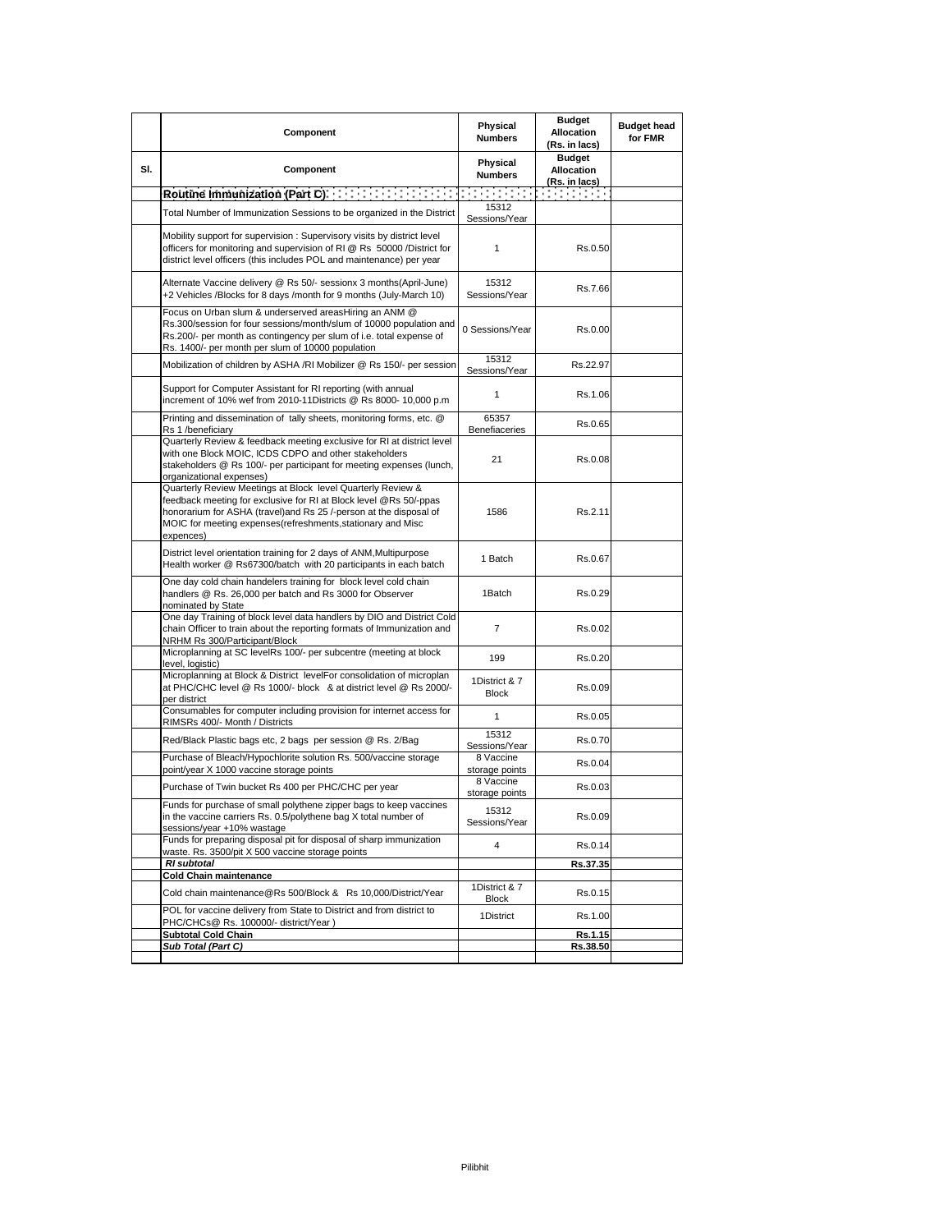|     | Component                                                                                                                                                                                                                                                                         | Physical<br><b>Numbers</b>    | <b>Budget</b><br><b>Allocation</b><br>(Rs. in lacs) | <b>Budget head</b><br>for FMR |
|-----|-----------------------------------------------------------------------------------------------------------------------------------------------------------------------------------------------------------------------------------------------------------------------------------|-------------------------------|-----------------------------------------------------|-------------------------------|
| SI. | Component                                                                                                                                                                                                                                                                         | Physical<br><b>Numbers</b>    | <b>Budget</b><br><b>Allocation</b><br>(Rs. in lacs) |                               |
|     | <b>Routine Immunization (Part C)</b>                                                                                                                                                                                                                                              | <b>Contract Contract</b>      | <b>Service State</b>                                |                               |
|     | Total Number of Immunization Sessions to be organized in the District                                                                                                                                                                                                             | 15312<br>Sessions/Year        |                                                     |                               |
|     | Mobility support for supervision: Supervisory visits by district level<br>officers for monitoring and supervision of RI @ Rs 50000 /District for<br>district level officers (this includes POL and maintenance) per year                                                          | 1                             | Rs.0.50                                             |                               |
|     | Alternate Vaccine delivery @ Rs 50/- sessionx 3 months(April-June)<br>+2 Vehicles /Blocks for 8 days /month for 9 months (July-March 10)                                                                                                                                          | 15312<br>Sessions/Year        | Rs.7.66                                             |                               |
|     | Focus on Urban slum & underserved areasHiring an ANM @<br>Rs.300/session for four sessions/month/slum of 10000 population and<br>Rs.200/- per month as contingency per slum of i.e. total expense of<br>Rs. 1400/- per month per slum of 10000 population                         | 0 Sessions/Year               | Rs.0.00                                             |                               |
|     | Mobilization of children by ASHA /RI Mobilizer @ Rs 150/- per session                                                                                                                                                                                                             | 15312<br>Sessions/Year        | Rs.22.97                                            |                               |
|     | Support for Computer Assistant for RI reporting (with annual<br>increment of 10% wef from 2010-11Districts @ Rs 8000- 10,000 p.m                                                                                                                                                  | 1                             | Rs.1.06                                             |                               |
|     | Printing and dissemination of tally sheets, monitoring forms, etc. @<br>Rs 1 /beneficiary                                                                                                                                                                                         | 65357<br>Benefiaceries        | Rs.0.65                                             |                               |
|     | Quarterly Review & feedback meeting exclusive for RI at district level<br>with one Block MOIC, ICDS CDPO and other stakeholders<br>stakeholders @ Rs 100/- per participant for meeting expenses (lunch,<br>organizational expenses)                                               | 21                            | Rs.0.08                                             |                               |
|     | Quarterly Review Meetings at Block level Quarterly Review &<br>feedback meeting for exclusive for RI at Block level @Rs 50/-ppas<br>honorarium for ASHA (travel)and Rs 25 /-person at the disposal of<br>MOIC for meeting expenses(refreshments, stationary and Misc<br>expences) | 1586                          | Rs.2.11                                             |                               |
|     | District level orientation training for 2 days of ANM, Multipurpose<br>Health worker @ Rs67300/batch with 20 participants in each batch                                                                                                                                           | 1 Batch                       | Rs.0.67                                             |                               |
|     | One day cold chain handelers training for block level cold chain<br>handlers @ Rs. 26,000 per batch and Rs 3000 for Observer<br>nominated by State                                                                                                                                | 1Batch                        | Rs.0.29                                             |                               |
|     | One day Training of block level data handlers by DIO and District Cold<br>chain Officer to train about the reporting formats of Immunization and<br>NRHM Rs 300/Participant/Block                                                                                                 | $\overline{7}$                | Rs.0.02                                             |                               |
|     | Microplanning at SC levelRs 100/- per subcentre (meeting at block<br>level, logistic)                                                                                                                                                                                             | 199                           | Rs.0.20                                             |                               |
|     | Microplanning at Block & District levelFor consolidation of microplan<br>at PHC/CHC level @ Rs 1000/- block & at district level @ Rs 2000/-<br>per district                                                                                                                       | 1District & 7<br><b>Block</b> | Rs.0.09                                             |                               |
|     | Consumables for computer including provision for internet access for<br>RIMSRs 400/- Month / Districts                                                                                                                                                                            | $\mathbf{1}$                  | Rs.0.05                                             |                               |
|     | Red/Black Plastic bags etc, 2 bags per session @ Rs. 2/Bag                                                                                                                                                                                                                        | 15312<br>Sessions/Year        | Rs.0.70                                             |                               |
|     | Purchase of Bleach/Hypochlorite solution Rs. 500/vaccine storage<br>point/year X 1000 vaccine storage points                                                                                                                                                                      | 8 Vaccine<br>storage points   | Rs.0.04                                             |                               |
|     | Purchase of Twin bucket Rs 400 per PHC/CHC per year                                                                                                                                                                                                                               | 8 Vaccine<br>storage points   | Rs.0.03                                             |                               |
|     | Funds for purchase of small polythene zipper bags to keep vaccines<br>in the vaccine carriers Rs. 0.5/polythene bag X total number of<br>sessions/year +10% wastage                                                                                                               | 15312<br>Sessions/Year        | Rs.0.09                                             |                               |
|     | Funds for preparing disposal pit for disposal of sharp immunization<br>waste. Rs. 3500/pit X 500 vaccine storage points                                                                                                                                                           | 4                             | Rs.0.14                                             |                               |
|     | <b>RI</b> subtotal                                                                                                                                                                                                                                                                |                               | Rs.37.35                                            |                               |
|     | <b>Cold Chain maintenance</b><br>Cold chain maintenance@Rs 500/Block & Rs 10,000/District/Year                                                                                                                                                                                    | 1District & 7                 | Rs.0.15                                             |                               |
|     | POL for vaccine delivery from State to District and from district to<br>PHC/CHCs@ Rs. 100000/- district/Year)                                                                                                                                                                     | <b>Block</b><br>1District     | Rs.1.00                                             |                               |
|     | Subtotal Cold Chain                                                                                                                                                                                                                                                               |                               | Rs.1.15                                             |                               |
|     | Sub Total (Part C)                                                                                                                                                                                                                                                                |                               | Rs.38.50                                            |                               |
|     |                                                                                                                                                                                                                                                                                   |                               |                                                     |                               |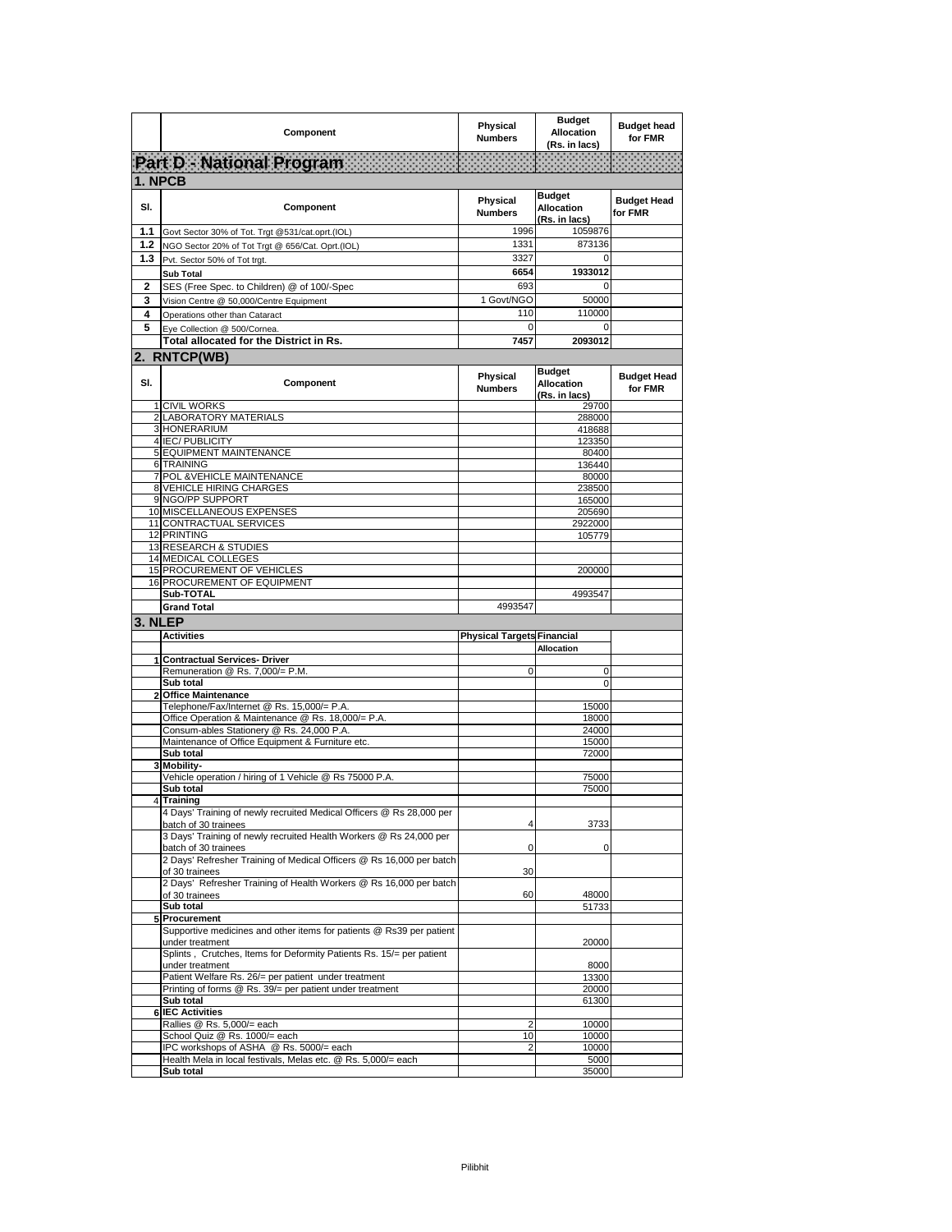|         | Component                                                                                                                                                       | Physical<br><b>Numbers</b>                                                            | <b>Budget</b><br><b>Allocation</b><br>(Rs. in lacs) | <b>Budget head</b><br>for FMR |
|---------|-----------------------------------------------------------------------------------------------------------------------------------------------------------------|---------------------------------------------------------------------------------------|-----------------------------------------------------|-------------------------------|
| 1. NPCB | Part D - National Program                                                                                                                                       | <u> Mara</u> t Maria Maria Barat da Barat da Barat da Brasil<br>Maria Barat da Brasil | <u> Angologicko</u>                                 |                               |
| SI.     | Component                                                                                                                                                       | Physical<br><b>Numbers</b>                                                            | <b>Budget</b><br><b>Allocation</b><br>(Rs. in lacs) | <b>Budget Head</b><br>for FMR |
| 1.1     | Govt Sector 30% of Tot. Trgt @531/cat.oprt.(IOL)                                                                                                                | 1996                                                                                  | 1059876                                             |                               |
| 1.2     | NGO Sector 20% of Tot Trgt @ 656/Cat. Oprt.(IOL)                                                                                                                | 1331                                                                                  | 873136                                              |                               |
| 1.3     | Pvt. Sector 50% of Tot trgt.                                                                                                                                    | 3327                                                                                  | 0                                                   |                               |
|         | <b>Sub Total</b>                                                                                                                                                | 6654                                                                                  | 1933012                                             |                               |
| 2       | SES (Free Spec. to Children) @ of 100/-Spec                                                                                                                     | 693                                                                                   |                                                     |                               |
| 3       | Vision Centre @ 50,000/Centre Equipment                                                                                                                         | 1 Govt/NGO                                                                            | 50000                                               |                               |
| 4       | Operations other than Cataract                                                                                                                                  | 110                                                                                   | 110000                                              |                               |
| 5       | Eye Collection @ 500/Cornea.                                                                                                                                    | $\mathbf 0$                                                                           | 0                                                   |                               |
|         | Total allocated for the District in Rs.                                                                                                                         | 7457                                                                                  | 2093012                                             |                               |
|         | 2. RNTCP(WB)                                                                                                                                                    |                                                                                       |                                                     |                               |
| SI.     | Component                                                                                                                                                       | Physical<br><b>Numbers</b>                                                            | <b>Budget</b><br><b>Allocation</b><br>(Rs. in lacs) | <b>Budget Head</b><br>for FMR |
|         | 1 CIVIL WORKS                                                                                                                                                   |                                                                                       | 29700                                               |                               |
| 2       | <b>LABORATORY MATERIALS</b><br>3 HONERARIUM                                                                                                                     |                                                                                       | 288000<br>418688                                    |                               |
|         | 4 IEC/PUBLICITY                                                                                                                                                 |                                                                                       | 123350                                              |                               |
|         | 5 EQUIPMENT MAINTENANCE                                                                                                                                         |                                                                                       | 80400                                               |                               |
|         | 6 TRAINING                                                                                                                                                      |                                                                                       | 136440                                              |                               |
|         | 7 POL & VEHICLE MAINTENANCE<br><b>8 VEHICLE HIRING CHARGES</b>                                                                                                  |                                                                                       | 80000<br>238500                                     |                               |
|         | 9 NGO/PP SUPPORT                                                                                                                                                |                                                                                       | 165000                                              |                               |
|         | 10 MISCELLANEOUS EXPENSES                                                                                                                                       |                                                                                       | 205690                                              |                               |
|         | 11 CONTRACTUAL SERVICES                                                                                                                                         |                                                                                       | 2922000                                             |                               |
|         | <b>12 PRINTING</b><br>13 RESEARCH & STUDIES                                                                                                                     |                                                                                       | 105779                                              |                               |
|         | 14 MEDICAL COLLEGES                                                                                                                                             |                                                                                       |                                                     |                               |
|         | 15 PROCUREMENT OF VEHICLES                                                                                                                                      |                                                                                       | 200000                                              |                               |
|         | 16 PROCUREMENT OF EQUIPMENT                                                                                                                                     |                                                                                       |                                                     |                               |
|         | Sub-TOTAL                                                                                                                                                       | 4993547                                                                               | 4993547                                             |                               |
|         | <b>Grand Total</b>                                                                                                                                              |                                                                                       |                                                     |                               |
| 3. NLEP | <b>Activities</b>                                                                                                                                               | <b>Physical Targets Financial</b>                                                     |                                                     |                               |
|         |                                                                                                                                                                 |                                                                                       | <b>Allocation</b>                                   |                               |
|         | 1 Contractual Services- Driver                                                                                                                                  |                                                                                       |                                                     |                               |
|         | Remuneration @ Rs. 7,000/= P.M.                                                                                                                                 | $\mathbf 0$                                                                           | $\mathbf 0$                                         |                               |
|         | Sub total<br>2 Office Maintenance                                                                                                                               |                                                                                       | 0                                                   |                               |
|         | Telephone/Fax/Internet @ Rs. 15,000/= P.A.                                                                                                                      |                                                                                       | 15000                                               |                               |
|         | Office Operation & Maintenance @ Rs. 18,000/= P.A.                                                                                                              |                                                                                       | 18000                                               |                               |
|         | Consum-ables Stationery @ Rs. 24,000 P.A.                                                                                                                       |                                                                                       | 24000                                               |                               |
|         | Maintenance of Office Equipment & Furniture etc.                                                                                                                |                                                                                       | 15000                                               |                               |
|         | Sub total<br>3 Mobility-                                                                                                                                        |                                                                                       | 72000                                               |                               |
|         | Vehicle operation / hiring of 1 Vehicle @ Rs 75000 P.A.                                                                                                         |                                                                                       | 75000                                               |                               |
|         | Sub total                                                                                                                                                       |                                                                                       | 75000                                               |                               |
|         | 4Training<br>4 Days' Training of newly recruited Medical Officers @ Rs 28,000 per                                                                               |                                                                                       |                                                     |                               |
|         | batch of 30 trainees                                                                                                                                            | 4                                                                                     | 3733                                                |                               |
|         | 3 Days' Training of newly recruited Health Workers @ Rs 24,000 per                                                                                              |                                                                                       |                                                     |                               |
|         | batch of 30 trainees                                                                                                                                            | 0                                                                                     | 0                                                   |                               |
|         | 2 Days' Refresher Training of Medical Officers @ Rs 16,000 per batch<br>of 30 trainees<br>2 Days' Refresher Training of Health Workers @ Rs 16,000 per batch    | 30                                                                                    |                                                     |                               |
|         | of 30 trainees                                                                                                                                                  | 60                                                                                    | 48000                                               |                               |
|         | Sub total                                                                                                                                                       |                                                                                       | 51733                                               |                               |
|         | 5 Procurement                                                                                                                                                   |                                                                                       |                                                     |                               |
|         | Supportive medicines and other items for patients @ Rs39 per patient<br>under treatment<br>Splints, Crutches, Items for Deformity Patients Rs. 15/= per patient |                                                                                       | 20000                                               |                               |
|         | under treatment                                                                                                                                                 |                                                                                       | 8000                                                |                               |
|         | Patient Welfare Rs. 26/= per patient under treatment                                                                                                            |                                                                                       | 13300                                               |                               |
|         | Printing of forms @ Rs. 39/= per patient under treatment                                                                                                        |                                                                                       | 20000                                               |                               |
|         | Sub total<br><b>IEC Activities</b>                                                                                                                              |                                                                                       | 61300                                               |                               |
|         | Rallies @ Rs. 5,000/= each                                                                                                                                      | $\overline{2}$                                                                        | 10000                                               |                               |
|         | School Quiz @ Rs. 1000/= each                                                                                                                                   | 10                                                                                    | 10000                                               |                               |
|         | IPC workshops of ASHA @ Rs. 5000/= each                                                                                                                         | $\overline{2}$                                                                        | 10000                                               |                               |
|         | Health Mela in local festivals, Melas etc. @ Rs. 5,000/= each<br>Sub total                                                                                      |                                                                                       | 5000<br>35000                                       |                               |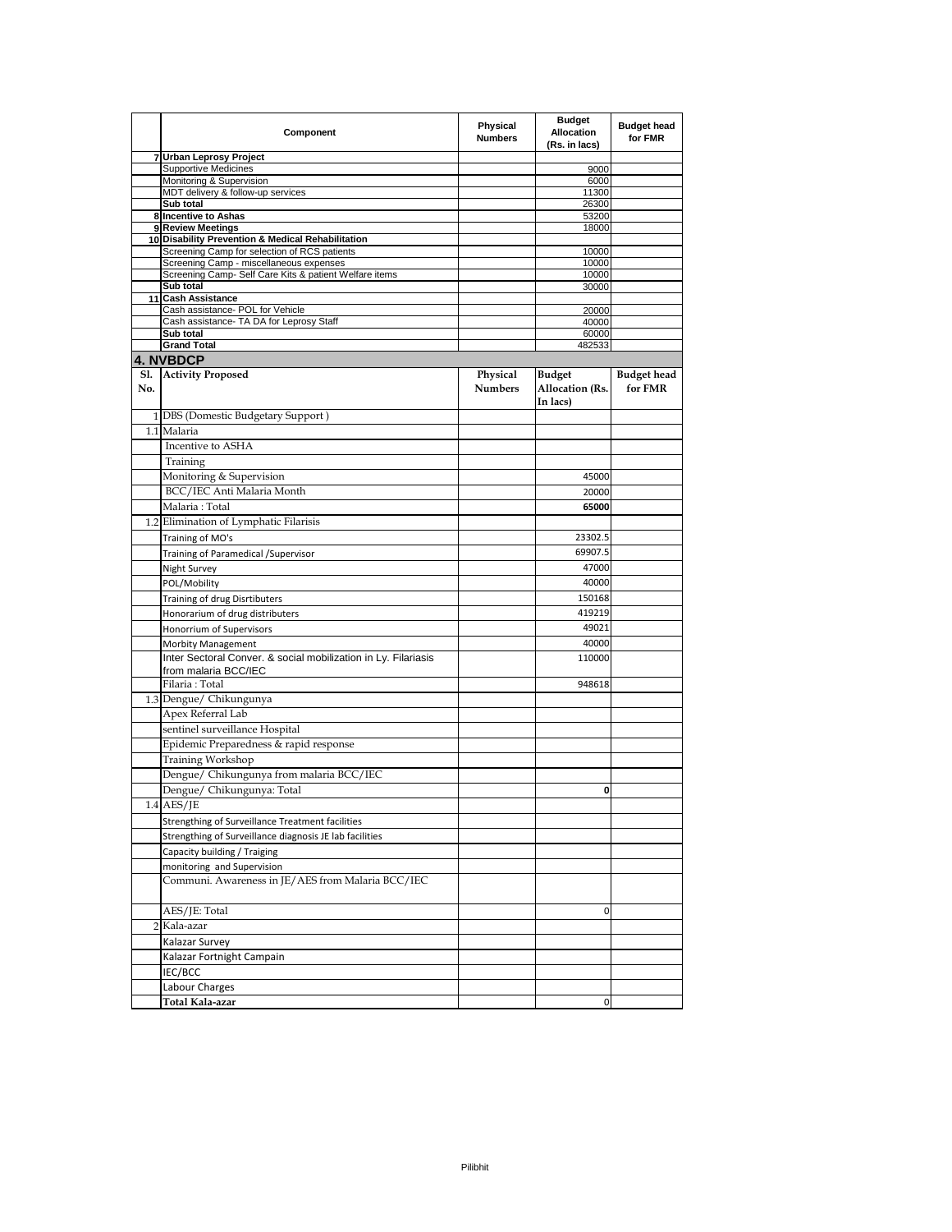|     | Component                                                                               | <b>Physical</b><br><b>Numbers</b> | <b>Budget</b><br><b>Allocation</b><br>(Rs. in lacs) | <b>Budget head</b><br>for FMR |
|-----|-----------------------------------------------------------------------------------------|-----------------------------------|-----------------------------------------------------|-------------------------------|
|     | 7 Urban Leprosy Project                                                                 |                                   |                                                     |                               |
|     | <b>Supportive Medicines</b>                                                             |                                   | 9000                                                |                               |
|     | Monitoring & Supervision<br>MDT delivery & follow-up services                           |                                   | 6000<br>11300                                       |                               |
|     | Sub total                                                                               |                                   | 26300                                               |                               |
|     | 8 Incentive to Ashas                                                                    |                                   | 53200                                               |                               |
|     | 9 Review Meetings                                                                       |                                   | 18000                                               |                               |
|     | 10 Disability Prevention & Medical Rehabilitation                                       |                                   |                                                     |                               |
|     | Screening Camp for selection of RCS patients<br>Screening Camp - miscellaneous expenses |                                   | 10000<br>10000                                      |                               |
|     | Screening Camp- Self Care Kits & patient Welfare items                                  |                                   | 10000                                               |                               |
|     | Sub total                                                                               |                                   | 30000                                               |                               |
|     | 11 Cash Assistance                                                                      |                                   |                                                     |                               |
|     | Cash assistance- POL for Vehicle                                                        |                                   | 20000                                               |                               |
|     | Cash assistance- TA DA for Leprosy Staff<br>Sub total                                   |                                   | 40000<br>60000                                      |                               |
|     | <b>Grand Total</b>                                                                      |                                   | 482533                                              |                               |
|     | 4. NVBDCP                                                                               |                                   |                                                     |                               |
| S1. | <b>Activity Proposed</b>                                                                | Physical                          | Budget                                              | <b>Budget</b> head            |
| No. |                                                                                         | <b>Numbers</b>                    | <b>Allocation (Rs.</b><br>In lacs)                  | for FMR                       |
|     | 1 DBS (Domestic Budgetary Support)                                                      |                                   |                                                     |                               |
|     | 1.1 Malaria                                                                             |                                   |                                                     |                               |
|     | Incentive to ASHA                                                                       |                                   |                                                     |                               |
|     | Training                                                                                |                                   |                                                     |                               |
|     | Monitoring & Supervision                                                                |                                   | 45000                                               |                               |
|     | BCC/IEC Anti Malaria Month                                                              |                                   | 20000                                               |                               |
|     | Malaria: Total                                                                          |                                   | 65000                                               |                               |
|     | 1.2 Elimination of Lymphatic Filarisis                                                  |                                   |                                                     |                               |
|     | Training of MO's                                                                        |                                   | 23302.5                                             |                               |
|     | Training of Paramedical / Supervisor                                                    |                                   | 69907.5                                             |                               |
|     |                                                                                         |                                   | 47000                                               |                               |
|     | Night Survey                                                                            |                                   | 40000                                               |                               |
|     | POL/Mobility                                                                            |                                   |                                                     |                               |
|     | Training of drug Disrtibuters                                                           |                                   | 150168                                              |                               |
|     | Honorarium of drug distributers                                                         |                                   | 419219                                              |                               |
|     | Honorrium of Supervisors                                                                |                                   | 49021                                               |                               |
|     | Morbity Management                                                                      |                                   | 40000                                               |                               |
|     | Inter Sectoral Conver. & social mobilization in Ly. Filariasis<br>from malaria BCC/IEC  |                                   | 110000                                              |                               |
|     | Filaria: Total                                                                          |                                   | 948618                                              |                               |
|     | 1.3 Dengue/ Chikungunya                                                                 |                                   |                                                     |                               |
|     | Apex Referral Lab                                                                       |                                   |                                                     |                               |
|     | sentinel surveillance Hospital                                                          |                                   |                                                     |                               |
|     | Epidemic Preparedness & rapid response                                                  |                                   |                                                     |                               |
|     | Training Workshop                                                                       |                                   |                                                     |                               |
|     | Dengue/ Chikungunya from malaria BCC/IEC                                                |                                   |                                                     |                               |
|     | Dengue/ Chikungunya: Total                                                              |                                   | 0                                                   |                               |
|     | 1.4 AES/JE                                                                              |                                   |                                                     |                               |
|     | Strengthing of Surveillance Treatment facilities                                        |                                   |                                                     |                               |
|     |                                                                                         |                                   |                                                     |                               |
|     | Strengthing of Surveillance diagnosis JE lab facilities                                 |                                   |                                                     |                               |
|     | Capacity building / Traiging                                                            |                                   |                                                     |                               |
|     | monitoring and Supervision                                                              |                                   |                                                     |                               |
|     | Communi. Awareness in JE/AES from Malaria BCC/IEC                                       |                                   |                                                     |                               |
|     | AES/JE: Total                                                                           |                                   | 0                                                   |                               |
|     | 2 Kala-azar                                                                             |                                   |                                                     |                               |
|     | Kalazar Survey                                                                          |                                   |                                                     |                               |
|     | Kalazar Fortnight Campain                                                               |                                   |                                                     |                               |
|     | IEC/BCC                                                                                 |                                   |                                                     |                               |
|     | Labour Charges                                                                          |                                   |                                                     |                               |
|     | Total Kala-azar                                                                         |                                   | 0                                                   |                               |